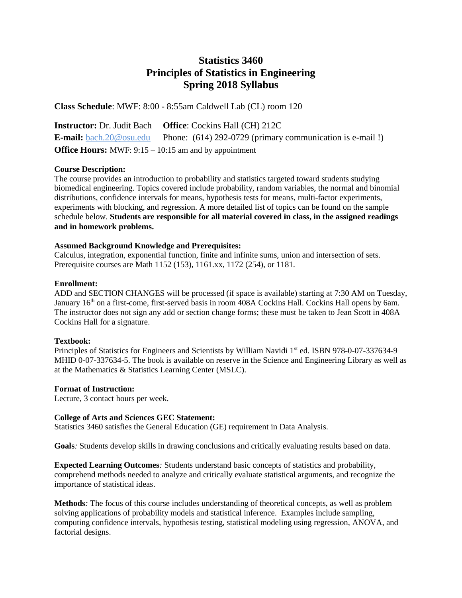## **Statistics 3460 Principles of Statistics in Engineering Spring 2018 Syllabus**

**Class Schedule**: MWF: 8:00 - 8:55am Caldwell Lab (CL) room 120

**Instructor:** Dr. Judit Bach **Office**: Cockins Hall (CH) 212C **E-mail:** [bach.20@osu.edu](mailto:bach.20@osu.edu) Phone: (614) 292-0729 (primary communication is e-mail!) **Office Hours:** MWF: 9:15 – 10:15 am and by appointment

#### **Course Description:**

The course provides an introduction to probability and statistics targeted toward students studying biomedical engineering. Topics covered include probability, random variables, the normal and binomial distributions, confidence intervals for means, hypothesis tests for means, multi-factor experiments, experiments with blocking, and regression. A more detailed list of topics can be found on the sample schedule below. **Students are responsible for all material covered in class, in the assigned readings and in homework problems.**

#### **Assumed Background Knowledge and Prerequisites:**

Calculus, integration, exponential function, finite and infinite sums, union and intersection of sets. Prerequisite courses are Math 1152 (153), 1161.xx, 1172 (254), or 1181.

#### **Enrollment:**

ADD and SECTION CHANGES will be processed (if space is available) starting at 7:30 AM on Tuesday, January 16<sup>th</sup> on a first-come, first-served basis in room 408A Cockins Hall. Cockins Hall opens by 6am. The instructor does not sign any add or section change forms; these must be taken to Jean Scott in 408A Cockins Hall for a signature.

## **Textbook:**

Principles of Statistics for Engineers and Scientists by William Navidi 1<sup>st</sup> ed. ISBN 978-0-07-337634-9 MHID 0-07-337634-5. The book is available on reserve in the Science and Engineering Library as well as at the Mathematics & Statistics Learning Center (MSLC).

#### **Format of Instruction:**

Lecture, 3 contact hours per week.

## **College of Arts and Sciences GEC Statement:**

Statistics 3460 satisfies the General Education (GE) requirement in Data Analysis.

**Goals***:* Students develop skills in drawing conclusions and critically evaluating results based on data.

**Expected Learning Outcomes***:* Students understand basic concepts of statistics and probability, comprehend methods needed to analyze and critically evaluate statistical arguments, and recognize the importance of statistical ideas.

**Methods***:* The focus of this course includes understanding of theoretical concepts, as well as problem solving applications of probability models and statistical inference. Examples include sampling, computing confidence intervals, hypothesis testing, statistical modeling using regression, ANOVA, and factorial designs.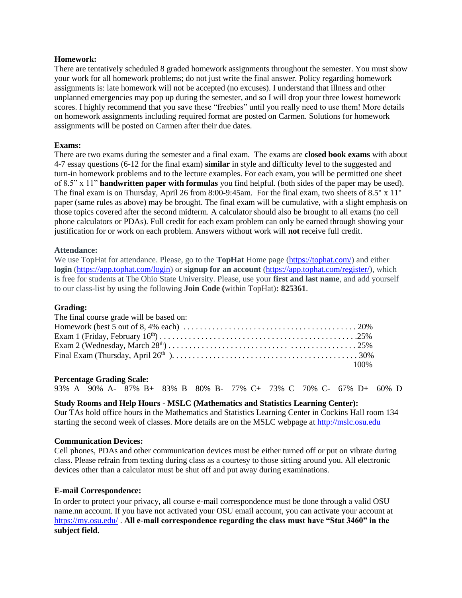#### **Homework:**

There are tentatively scheduled 8 graded homework assignments throughout the semester. You must show your work for all homework problems; do not just write the final answer. Policy regarding homework assignments is: late homework will not be accepted (no excuses). I understand that illness and other unplanned emergencies may pop up during the semester, and so I will drop your three lowest homework scores. I highly recommend that you save these "freebies" until you really need to use them! More details on homework assignments including required format are posted on Carmen. Solutions for homework assignments will be posted on Carmen after their due dates.

#### **Exams:**

There are two exams during the semester and a final exam. The exams are **closed book exams** with about 4-7 essay questions (6-12 for the final exam) **similar** in style and difficulty level to the suggested and turn-in homework problems and to the lecture examples. For each exam, you will be permitted one sheet of 8.5" x 11" **handwritten paper with formulas** you find helpful. (both sides of the paper may be used). The final exam is on Thursday, April 26 from 8:00-9:45am. For the final exam, two sheets of 8.5" x 11" paper (same rules as above) may be brought. The final exam will be cumulative, with a slight emphasis on those topics covered after the second midterm. A calculator should also be brought to all exams (no cell phone calculators or PDAs). Full credit for each exam problem can only be earned through showing your justification for or work on each problem. Answers without work will **not** receive full credit.

#### **Attendance:**

We use TopHat for attendance. Please, go to the **TopHat** Home page [\(https://tophat.com/\)](https://tophat.com/) and either **login** [\(https://app.tophat.com/login\)](https://app.tophat.com/login) or **signup for an account** [\(https://app.tophat.com/register/\)](https://app.tophat.com/register/), which is free for students at The Ohio State University. Please, use your **first and last name**, and add yourself to our class-list by using the following **Join Code (**within TopHat)**: 825361**.

#### **Grading:**

| The final course grade will be based on:                                                                                             |  |
|--------------------------------------------------------------------------------------------------------------------------------------|--|
| Homework (best 5 out of 8,4% each) $\ldots \ldots \ldots \ldots \ldots \ldots \ldots \ldots \ldots \ldots \ldots \ldots \ldots 20\%$ |  |
|                                                                                                                                      |  |
|                                                                                                                                      |  |
|                                                                                                                                      |  |
| $100\%$                                                                                                                              |  |

#### **Percentage Grading Scale:**

93% A 90% A- 87% B+ 83% B 80% B- 77% C+ 73% C 70% C- 67% D+ 60% D

#### **Study Rooms and Help Hours - MSLC (Mathematics and Statistics Learning Center):**

Our TAs hold office hours in the Mathematics and Statistics Learning Center in Cockins Hall room 134 starting the second week of classes. More details are on the MSLC webpage at [http://mslc.osu.edu](http://mslc.osu.edu/)

#### **Communication Devices:**

Cell phones, PDAs and other communication devices must be either turned off or put on vibrate during class. Please refrain from texting during class as a courtesy to those sitting around you. All electronic devices other than a calculator must be shut off and put away during examinations.

#### **E-mail Correspondence:**

In order to protect your privacy, all course e-mail correspondence must be done through a valid OSU name.nn account. If you have not activated your OSU email account, you can activate your account at <https://my.osu.edu/> . **All e-mail correspondence regarding the class must have "Stat 3460" in the subject field.**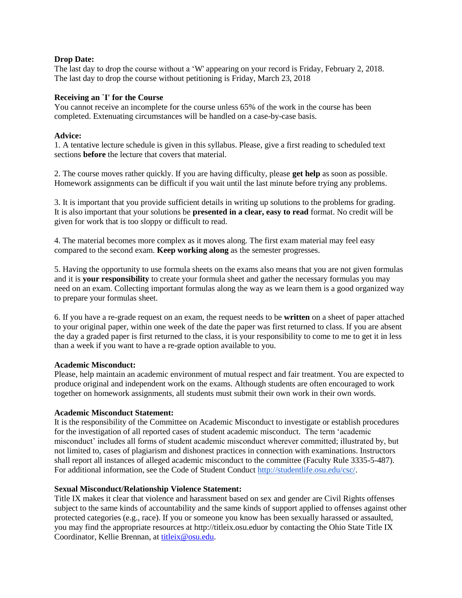#### **Drop Date:**

The last day to drop the course without a 'W' appearing on your record is Friday, February 2, 2018. The last day to drop the course without petitioning is Friday, March 23, 2018

#### **Receiving an `I' for the Course**

You cannot receive an incomplete for the course unless 65% of the work in the course has been completed. Extenuating circumstances will be handled on a case-by-case basis.

#### **Advice:**

1. A tentative lecture schedule is given in this syllabus. Please, give a first reading to scheduled text sections **before** the lecture that covers that material.

2. The course moves rather quickly. If you are having difficulty, please **get help** as soon as possible. Homework assignments can be difficult if you wait until the last minute before trying any problems.

3. It is important that you provide sufficient details in writing up solutions to the problems for grading. It is also important that your solutions be **presented in a clear, easy to read** format. No credit will be given for work that is too sloppy or difficult to read.

4. The material becomes more complex as it moves along. The first exam material may feel easy compared to the second exam. **Keep working along** as the semester progresses.

5. Having the opportunity to use formula sheets on the exams also means that you are not given formulas and it is **your responsibility** to create your formula sheet and gather the necessary formulas you may need on an exam. Collecting important formulas along the way as we learn them is a good organized way to prepare your formulas sheet.

6. If you have a re-grade request on an exam, the request needs to be **written** on a sheet of paper attached to your original paper, within one week of the date the paper was first returned to class. If you are absent the day a graded paper is first returned to the class, it is your responsibility to come to me to get it in less than a week if you want to have a re-grade option available to you.

#### **Academic Misconduct:**

Please, help maintain an academic environment of mutual respect and fair treatment. You are expected to produce original and independent work on the exams. Although students are often encouraged to work together on homework assignments, all students must submit their own work in their own words.

#### **Academic Misconduct Statement:**

It is the responsibility of the Committee on Academic Misconduct to investigate or establish procedures for the investigation of all reported cases of student academic misconduct. The term 'academic misconduct' includes all forms of student academic misconduct wherever committed; illustrated by, but not limited to, cases of plagiarism and dishonest practices in connection with examinations. Instructors shall report all instances of alleged academic misconduct to the committee (Faculty Rule 3335-5-487). For additional information, see the Code of Student Conduct [http://studentlife.osu.edu/csc/.](http://studentlife.osu.edu/csc/)

#### **Sexual Misconduct/Relationship Violence Statement:**

Title IX makes it clear that violence and harassment based on sex and gender are Civil Rights offenses subject to the same kinds of accountability and the same kinds of support applied to offenses against other protected categories (e.g., race). If you or someone you know has been sexually harassed or assaulted, you may find the appropriate resources at http://titleix.osu.eduor by contacting the Ohio State Title IX Coordinator, Kellie Brennan, at [titleix@osu.edu.](mailto:titleix@osu.edu)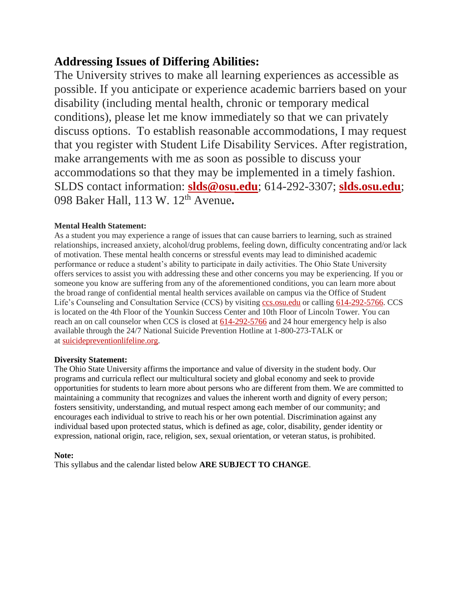# **Addressing Issues of Differing Abilities:**

The University strives to make all learning experiences as accessible as possible. If you anticipate or experience academic barriers based on your disability (including mental health, chronic or temporary medical conditions), please let me know immediately so that we can privately discuss options. To establish reasonable accommodations, I may request that you register with Student Life Disability Services. After registration, make arrangements with me as soon as possible to discuss your accommodations so that they may be implemented in a timely fashion. SLDS contact information: **[slds@osu.edu](mailto:slds@osu.edu)**; 614-292-3307; **[slds.osu.edu](http://www.ods.ohio-state.edu/)**; 098 Baker Hall, 113 W. 12 th Avenue**.**

## **Mental Health Statement:**

As a student you may experience a range of issues that can cause barriers to learning, such as strained relationships, increased anxiety, alcohol/drug problems, feeling down, difficulty concentrating and/or lack of motivation. These mental health concerns or stressful events may lead to diminished academic performance or reduce a student's ability to participate in daily activities. The Ohio State University offers services to assist you with addressing these and other concerns you may be experiencing. If you or someone you know are suffering from any of the aforementioned conditions, you can learn more about the broad range of confidential mental health services available on campus via the Office of Student Life's Counseling and Consultation Service (CCS) by visiting [ccs.osu.edu](http://ccs.osu.edu/) or calling [614-292-5766.](tel:%28614%29%20292-5766) CCS is located on the 4th Floor of the Younkin Success Center and 10th Floor of Lincoln Tower. You can reach an on call counselor when CCS is closed at [614-292-5766](tel:%28614%29%20292-5766) and 24 hour emergency help is also available through the 24/7 National Suicide Prevention Hotline at 1-800-273-TALK or at [suicidepreventionlifeline.org.](http://suicidepreventionlifeline.org/)

## **Diversity Statement:**

The Ohio State University affirms the importance and value of diversity in the student body. Our programs and curricula reflect our multicultural society and global economy and seek to provide opportunities for students to learn more about persons who are different from them. We are committed to maintaining a community that recognizes and values the inherent worth and dignity of every person; fosters sensitivity, understanding, and mutual respect among each member of our community; and encourages each individual to strive to reach his or her own potential. Discrimination against any individual based upon protected status, which is defined as age, color, disability, gender identity or expression, national origin, race, religion, sex, sexual orientation, or veteran status, is prohibited.

## **Note:**

This syllabus and the calendar listed below **ARE SUBJECT TO CHANGE**.